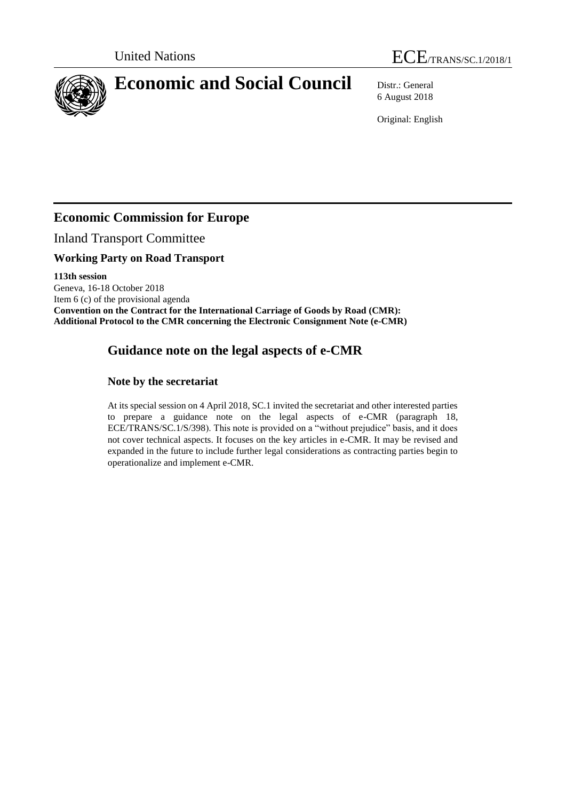



6 August 2018

Original: English

## **Economic Commission for Europe**

Inland Transport Committee

## **Working Party on Road Transport**

**113th session** Geneva, 16-18 October 2018 Item 6 (c) of the provisional agenda **Convention on the Contract for the International Carriage of Goods by Road (CMR): Additional Protocol to the CMR concerning the Electronic Consignment Note (e-CMR)**

# **Guidance note on the legal aspects of e-CMR**

## **Note by the secretariat**

At its special session on 4 April 2018, SC.1 invited the secretariat and other interested parties to prepare a guidance note on the legal aspects of e-CMR (paragraph 18, ECE/TRANS/SC.1/S/398). This note is provided on a "without prejudice" basis, and it does not cover technical aspects. It focuses on the key articles in e-CMR. It may be revised and expanded in the future to include further legal considerations as contracting parties begin to operationalize and implement e-CMR.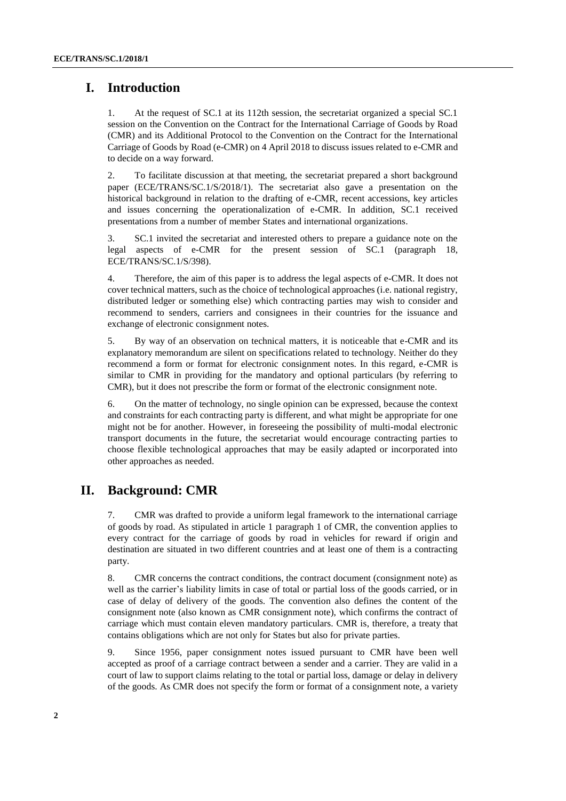## **I. Introduction**

1. At the request of SC.1 at its 112th session, the secretariat organized a special SC.1 session on the Convention on the Contract for the International Carriage of Goods by Road (CMR) and its Additional Protocol to the Convention on the Contract for the International Carriage of Goods by Road (e-CMR) on 4 April 2018 to discuss issues related to e-CMR and to decide on a way forward.

2. To facilitate discussion at that meeting, the secretariat prepared a short background paper (ECE/TRANS/SC.1/S/2018/1). The secretariat also gave a presentation on the historical background in relation to the drafting of e-CMR, recent accessions, key articles and issues concerning the operationalization of e-CMR. In addition, SC.1 received presentations from a number of member States and international organizations.

3. SC.1 invited the secretariat and interested others to prepare a guidance note on the legal aspects of e-CMR for the present session of SC.1 (paragraph 18, ECE/TRANS/SC.1/S/398).

4. Therefore, the aim of this paper is to address the legal aspects of e-CMR. It does not cover technical matters, such as the choice of technological approaches (i.e. national registry, distributed ledger or something else) which contracting parties may wish to consider and recommend to senders, carriers and consignees in their countries for the issuance and exchange of electronic consignment notes.

5. By way of an observation on technical matters, it is noticeable that e-CMR and its explanatory memorandum are silent on specifications related to technology. Neither do they recommend a form or format for electronic consignment notes. In this regard, e-CMR is similar to CMR in providing for the mandatory and optional particulars (by referring to CMR), but it does not prescribe the form or format of the electronic consignment note.

6. On the matter of technology, no single opinion can be expressed, because the context and constraints for each contracting party is different, and what might be appropriate for one might not be for another. However, in foreseeing the possibility of multi-modal electronic transport documents in the future, the secretariat would encourage contracting parties to choose flexible technological approaches that may be easily adapted or incorporated into other approaches as needed.

## **II. Background: CMR**

7. CMR was drafted to provide a uniform legal framework to the international carriage of goods by road. As stipulated in article 1 paragraph 1 of CMR, the convention applies to every contract for the carriage of goods by road in vehicles for reward if origin and destination are situated in two different countries and at least one of them is a contracting party.

8. CMR concerns the contract conditions, the contract document (consignment note) as well as the carrier's liability limits in case of total or partial loss of the goods carried, or in case of delay of delivery of the goods. The convention also defines the content of the consignment note (also known as CMR consignment note), which confirms the contract of carriage which must contain eleven mandatory particulars. CMR is, therefore, a treaty that contains obligations which are not only for States but also for private parties.

9. Since 1956, paper consignment notes issued pursuant to CMR have been well accepted as proof of a carriage contract between a sender and a carrier. They are valid in a court of law to support claims relating to the total or partial loss, damage or delay in delivery of the goods. As CMR does not specify the form or format of a consignment note, a variety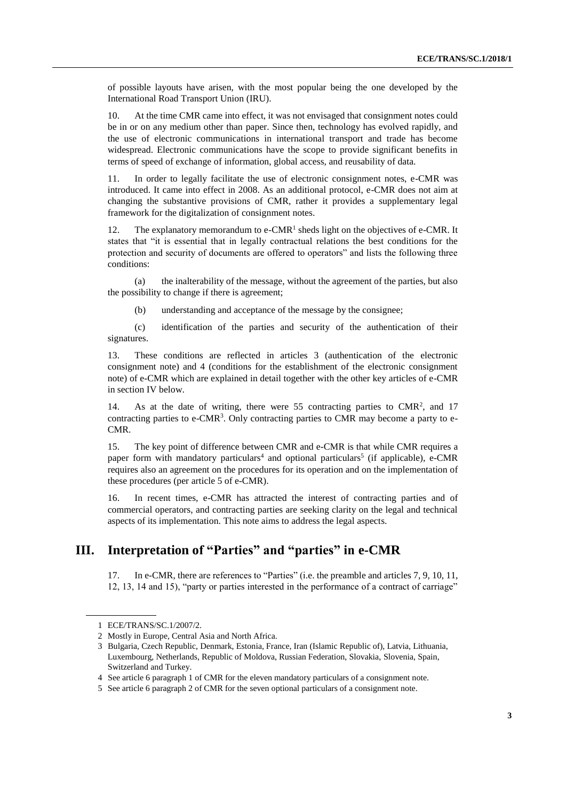of possible layouts have arisen, with the most popular being the one developed by the International Road Transport Union (IRU).

10. At the time CMR came into effect, it was not envisaged that consignment notes could be in or on any medium other than paper. Since then, technology has evolved rapidly, and the use of electronic communications in international transport and trade has become widespread. Electronic communications have the scope to provide significant benefits in terms of speed of exchange of information, global access, and reusability of data.

11. In order to legally facilitate the use of electronic consignment notes, e-CMR was introduced. It came into effect in 2008. As an additional protocol, e-CMR does not aim at changing the substantive provisions of CMR, rather it provides a supplementary legal framework for the digitalization of consignment notes.

12. The explanatory memorandum to  $e\text{-}CMR<sup>1</sup>$  sheds light on the objectives of e-CMR. It states that "it is essential that in legally contractual relations the best conditions for the protection and security of documents are offered to operators" and lists the following three conditions:

(a) the inalterability of the message, without the agreement of the parties, but also the possibility to change if there is agreement;

(b) understanding and acceptance of the message by the consignee;

(c) identification of the parties and security of the authentication of their signatures.

13. These conditions are reflected in articles 3 (authentication of the electronic consignment note) and 4 (conditions for the establishment of the electronic consignment note) of e-CMR which are explained in detail together with the other key articles of e-CMR in section IV below.

14. As at the date of writing, there were 55 contracting parties to CMR<sup>2</sup>, and 17 contracting parties to  $e\text{-}CMR<sup>3</sup>$ . Only contracting parties to CMR may become a party to  $e$ -CMR.

15. The key point of difference between CMR and e-CMR is that while CMR requires a paper form with mandatory particulars<sup>4</sup> and optional particulars<sup>5</sup> (if applicable), e-CMR requires also an agreement on the procedures for its operation and on the implementation of these procedures (per article 5 of e-CMR).

16. In recent times, e-CMR has attracted the interest of contracting parties and of commercial operators, and contracting parties are seeking clarity on the legal and technical aspects of its implementation. This note aims to address the legal aspects.

## **III. Interpretation of "Parties" and "parties" in e-CMR**

17. In e-CMR, there are references to "Parties" (i.e. the preamble and articles 7, 9, 10, 11, 12, 13, 14 and 15), "party or parties interested in the performance of a contract of carriage"

<sup>1</sup> ECE/TRANS/SC.1/2007/2.

<sup>2</sup> Mostly in Europe, Central Asia and North Africa.

<sup>3</sup> Bulgaria, Czech Republic, Denmark, Estonia, France, Iran (Islamic Republic of), Latvia, Lithuania, Luxembourg, Netherlands, Republic of Moldova, Russian Federation, Slovakia, Slovenia, Spain, Switzerland and Turkey.

<sup>4</sup> See article 6 paragraph 1 of CMR for the eleven mandatory particulars of a consignment note.

<sup>5</sup> See article 6 paragraph 2 of CMR for the seven optional particulars of a consignment note.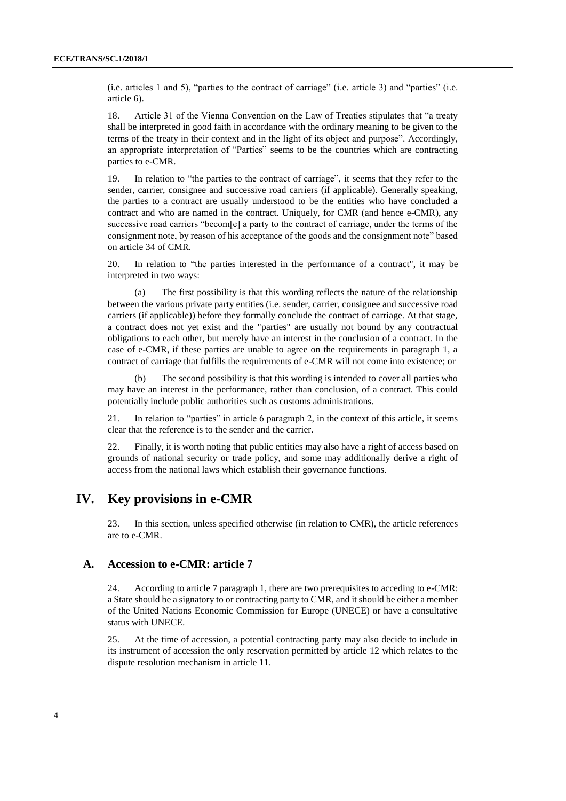(i.e. articles 1 and 5), "parties to the contract of carriage" (i.e. article 3) and "parties" (i.e. article 6).

18. Article 31 of the Vienna Convention on the Law of Treaties stipulates that "a treaty shall be interpreted in good faith in accordance with the ordinary meaning to be given to the terms of the treaty in their context and in the light of its object and purpose". Accordingly, an appropriate interpretation of "Parties" seems to be the countries which are contracting parties to e-CMR.

19. In relation to "the parties to the contract of carriage", it seems that they refer to the sender, carrier, consignee and successive road carriers (if applicable). Generally speaking, the parties to a contract are usually understood to be the entities who have concluded a contract and who are named in the contract. Uniquely, for CMR (and hence e-CMR), any successive road carriers "becom[e] a party to the contract of carriage, under the terms of the consignment note, by reason of his acceptance of the goods and the consignment note" based on article 34 of CMR.

20. In relation to "the parties interested in the performance of a contract", it may be interpreted in two ways:

The first possibility is that this wording reflects the nature of the relationship between the various private party entities (i.e. sender, carrier, consignee and successive road carriers (if applicable)) before they formally conclude the contract of carriage. At that stage, a contract does not yet exist and the "parties" are usually not bound by any contractual obligations to each other, but merely have an interest in the conclusion of a contract. In the case of e-CMR, if these parties are unable to agree on the requirements in paragraph 1, a contract of carriage that fulfills the requirements of e-CMR will not come into existence; or

The second possibility is that this wording is intended to cover all parties who may have an interest in the performance, rather than conclusion, of a contract. This could potentially include public authorities such as customs administrations.

21. In relation to "parties" in article 6 paragraph 2, in the context of this article, it seems clear that the reference is to the sender and the carrier.

22. Finally, it is worth noting that public entities may also have a right of access based on grounds of national security or trade policy, and some may additionally derive a right of access from the national laws which establish their governance functions.

### **IV. Key provisions in e-CMR**

23. In this section, unless specified otherwise (in relation to CMR), the article references are to e-CMR.

#### **A. Accession to e-CMR: article 7**

24. According to article 7 paragraph 1, there are two prerequisites to acceding to e-CMR: a State should be a signatory to or contracting party to CMR, and it should be either a member of the United Nations Economic Commission for Europe (UNECE) or have a consultative status with UNECE.

25. At the time of accession, a potential contracting party may also decide to include in its instrument of accession the only reservation permitted by article 12 which relates to the dispute resolution mechanism in article 11.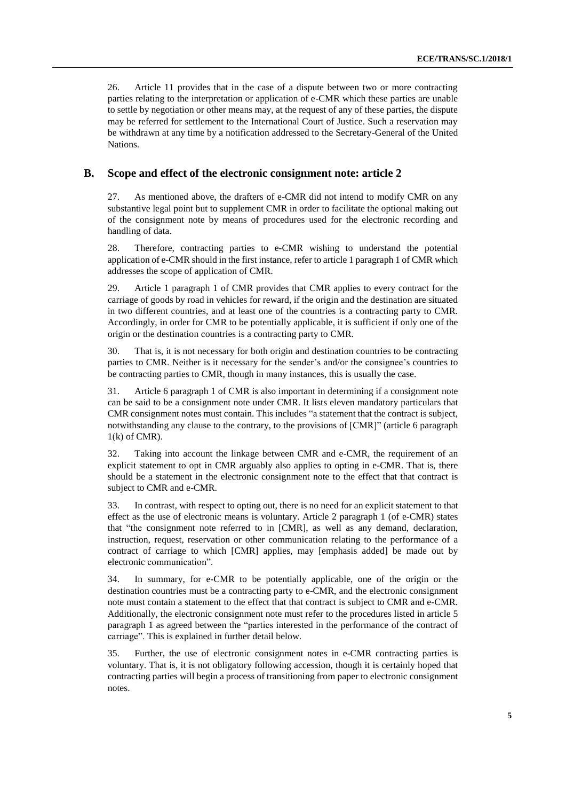26. Article 11 provides that in the case of a dispute between two or more contracting parties relating to the interpretation or application of e-CMR which these parties are unable to settle by negotiation or other means may, at the request of any of these parties, the dispute may be referred for settlement to the International Court of Justice. Such a reservation may be withdrawn at any time by a notification addressed to the Secretary-General of the United Nations.

#### **B. Scope and effect of the electronic consignment note: article 2**

27. As mentioned above, the drafters of e-CMR did not intend to modify CMR on any substantive legal point but to supplement CMR in order to facilitate the optional making out of the consignment note by means of procedures used for the electronic recording and handling of data.

28. Therefore, contracting parties to e-CMR wishing to understand the potential application of e-CMR should in the first instance, refer to article 1 paragraph 1 of CMR which addresses the scope of application of CMR.

29. Article 1 paragraph 1 of CMR provides that CMR applies to every contract for the carriage of goods by road in vehicles for reward, if the origin and the destination are situated in two different countries, and at least one of the countries is a contracting party to CMR. Accordingly, in order for CMR to be potentially applicable, it is sufficient if only one of the origin or the destination countries is a contracting party to CMR.

30. That is, it is not necessary for both origin and destination countries to be contracting parties to CMR. Neither is it necessary for the sender's and/or the consignee's countries to be contracting parties to CMR, though in many instances, this is usually the case.

31. Article 6 paragraph 1 of CMR is also important in determining if a consignment note can be said to be a consignment note under CMR. It lists eleven mandatory particulars that CMR consignment notes must contain. This includes "a statement that the contract is subject, notwithstanding any clause to the contrary, to the provisions of [CMR]" (article 6 paragraph  $1(k)$  of CMR).

32. Taking into account the linkage between CMR and e-CMR, the requirement of an explicit statement to opt in CMR arguably also applies to opting in e-CMR. That is, there should be a statement in the electronic consignment note to the effect that that contract is subject to CMR and e-CMR.

33. In contrast, with respect to opting out, there is no need for an explicit statement to that effect as the use of electronic means is voluntary. Article 2 paragraph 1 (of e-CMR) states that "the consignment note referred to in [CMR], as well as any demand, declaration, instruction, request, reservation or other communication relating to the performance of a contract of carriage to which [CMR] applies, may [emphasis added] be made out by electronic communication".

34. In summary, for e-CMR to be potentially applicable, one of the origin or the destination countries must be a contracting party to e-CMR, and the electronic consignment note must contain a statement to the effect that that contract is subject to CMR and e-CMR. Additionally, the electronic consignment note must refer to the procedures listed in article 5 paragraph 1 as agreed between the "parties interested in the performance of the contract of carriage". This is explained in further detail below.

35. Further, the use of electronic consignment notes in e-CMR contracting parties is voluntary. That is, it is not obligatory following accession, though it is certainly hoped that contracting parties will begin a process of transitioning from paper to electronic consignment notes.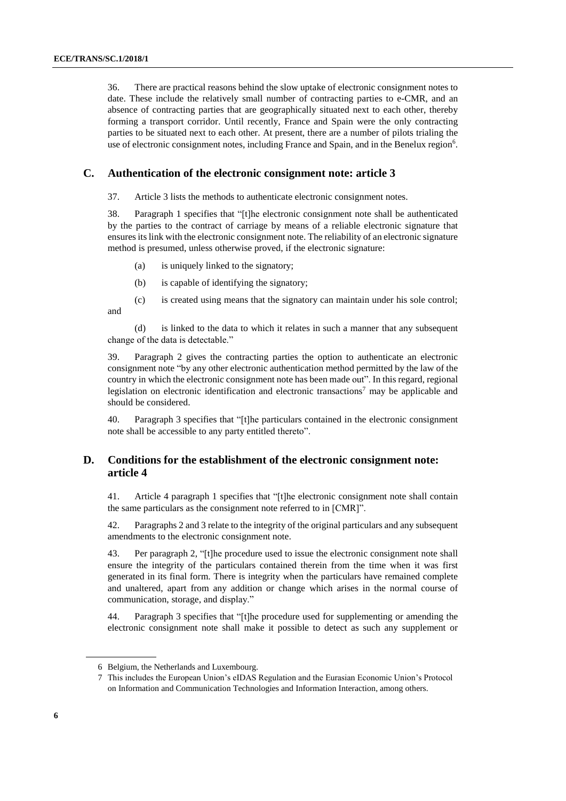36. There are practical reasons behind the slow uptake of electronic consignment notes to date. These include the relatively small number of contracting parties to e-CMR, and an absence of contracting parties that are geographically situated next to each other, thereby forming a transport corridor. Until recently, France and Spain were the only contracting parties to be situated next to each other. At present, there are a number of pilots trialing the use of electronic consignment notes, including France and Spain, and in the Benelux region<sup>6</sup>.

#### **C. Authentication of the electronic consignment note: article 3**

37. Article 3 lists the methods to authenticate electronic consignment notes.

38. Paragraph 1 specifies that "[t]he electronic consignment note shall be authenticated by the parties to the contract of carriage by means of a reliable electronic signature that ensures its link with the electronic consignment note. The reliability of an electronic signature method is presumed, unless otherwise proved, if the electronic signature:

- (a) is uniquely linked to the signatory;
- (b) is capable of identifying the signatory;
- (c) is created using means that the signatory can maintain under his sole control; and

(d) is linked to the data to which it relates in such a manner that any subsequent change of the data is detectable."

39. Paragraph 2 gives the contracting parties the option to authenticate an electronic consignment note "by any other electronic authentication method permitted by the law of the country in which the electronic consignment note has been made out". In this regard, regional legislation on electronic identification and electronic transactions<sup>7</sup> may be applicable and should be considered.

40. Paragraph 3 specifies that "[t]he particulars contained in the electronic consignment note shall be accessible to any party entitled thereto".

#### **D. Conditions for the establishment of the electronic consignment note: article 4**

41. Article 4 paragraph 1 specifies that "[t]he electronic consignment note shall contain the same particulars as the consignment note referred to in [CMR]".

42. Paragraphs 2 and 3 relate to the integrity of the original particulars and any subsequent amendments to the electronic consignment note.

43. Per paragraph 2, "[t]he procedure used to issue the electronic consignment note shall ensure the integrity of the particulars contained therein from the time when it was first generated in its final form. There is integrity when the particulars have remained complete and unaltered, apart from any addition or change which arises in the normal course of communication, storage, and display."

44. Paragraph 3 specifies that "[t]he procedure used for supplementing or amending the electronic consignment note shall make it possible to detect as such any supplement or

<sup>6</sup> Belgium, the Netherlands and Luxembourg.

<sup>7</sup> This includes the European Union's eIDAS Regulation and the Eurasian Economic Union's Protocol on Information and Communication Technologies and Information Interaction, among others.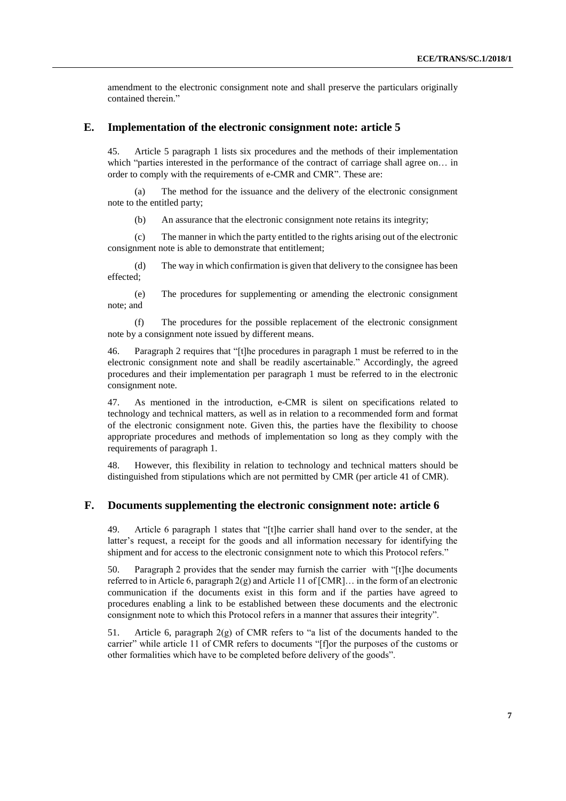amendment to the electronic consignment note and shall preserve the particulars originally contained therein."

#### **E. Implementation of the electronic consignment note: article 5**

45. Article 5 paragraph 1 lists six procedures and the methods of their implementation which "parties interested in the performance of the contract of carriage shall agree on... in order to comply with the requirements of e-CMR and CMR". These are:

The method for the issuance and the delivery of the electronic consignment note to the entitled party;

(b) An assurance that the electronic consignment note retains its integrity;

(c) The manner in which the party entitled to the rights arising out of the electronic consignment note is able to demonstrate that entitlement;

(d) The way in which confirmation is given that delivery to the consignee has been effected;

(e) The procedures for supplementing or amending the electronic consignment note; and

(f) The procedures for the possible replacement of the electronic consignment note by a consignment note issued by different means.

46. Paragraph 2 requires that "[t]he procedures in paragraph 1 must be referred to in the electronic consignment note and shall be readily ascertainable." Accordingly, the agreed procedures and their implementation per paragraph 1 must be referred to in the electronic consignment note.

47. As mentioned in the introduction, e-CMR is silent on specifications related to technology and technical matters, as well as in relation to a recommended form and format of the electronic consignment note. Given this, the parties have the flexibility to choose appropriate procedures and methods of implementation so long as they comply with the requirements of paragraph 1.

48. However, this flexibility in relation to technology and technical matters should be distinguished from stipulations which are not permitted by CMR (per article 41 of CMR).

#### **F. Documents supplementing the electronic consignment note: article 6**

49. Article 6 paragraph 1 states that "[t]he carrier shall hand over to the sender, at the latter's request, a receipt for the goods and all information necessary for identifying the shipment and for access to the electronic consignment note to which this Protocol refers."

50. Paragraph 2 provides that the sender may furnish the carrier with "[t]he documents referred to in Article 6, paragraph  $2(g)$  and Article 11 of  $[CMR]$ ... in the form of an electronic communication if the documents exist in this form and if the parties have agreed to procedures enabling a link to be established between these documents and the electronic consignment note to which this Protocol refers in a manner that assures their integrity".

51. Article 6, paragraph  $2(g)$  of CMR refers to "a list of the documents handed to the carrier" while article 11 of CMR refers to documents "[f]or the purposes of the customs or other formalities which have to be completed before delivery of the goods".